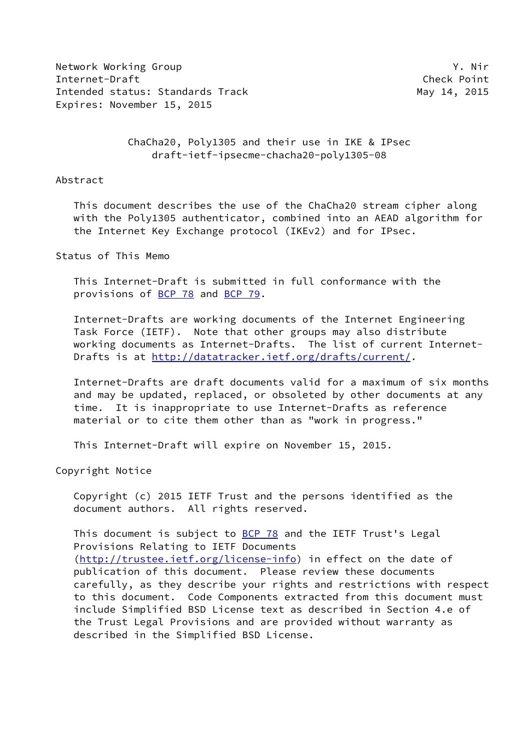Network Working Group Y. Nir Internet-Draft Check Point Intended status: Standards Track May 14, 2015 Expires: November 15, 2015

 ChaCha20, Poly1305 and their use in IKE & IPsec draft-ietf-ipsecme-chacha20-poly1305-08

### Abstract

 This document describes the use of the ChaCha20 stream cipher along with the Poly1305 authenticator, combined into an AEAD algorithm for the Internet Key Exchange protocol (IKEv2) and for IPsec.

Status of This Memo

 This Internet-Draft is submitted in full conformance with the provisions of [BCP 78](https://datatracker.ietf.org/doc/pdf/bcp78) and [BCP 79](https://datatracker.ietf.org/doc/pdf/bcp79).

 Internet-Drafts are working documents of the Internet Engineering Task Force (IETF). Note that other groups may also distribute working documents as Internet-Drafts. The list of current Internet- Drafts is at<http://datatracker.ietf.org/drafts/current/>.

 Internet-Drafts are draft documents valid for a maximum of six months and may be updated, replaced, or obsoleted by other documents at any time. It is inappropriate to use Internet-Drafts as reference material or to cite them other than as "work in progress."

This Internet-Draft will expire on November 15, 2015.

Copyright Notice

 Copyright (c) 2015 IETF Trust and the persons identified as the document authors. All rights reserved.

This document is subject to **[BCP 78](https://datatracker.ietf.org/doc/pdf/bcp78)** and the IETF Trust's Legal Provisions Relating to IETF Documents [\(http://trustee.ietf.org/license-info](http://trustee.ietf.org/license-info)) in effect on the date of publication of this document. Please review these documents carefully, as they describe your rights and restrictions with respect to this document. Code Components extracted from this document must include Simplified BSD License text as described in Section 4.e of the Trust Legal Provisions and are provided without warranty as described in the Simplified BSD License.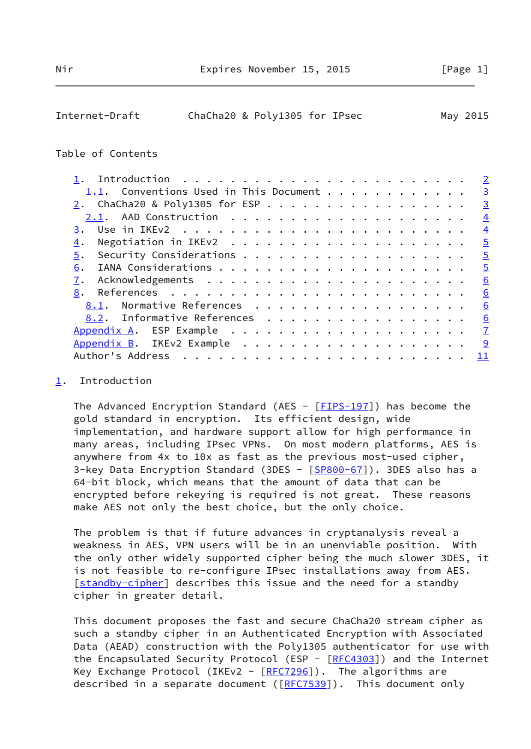<span id="page-1-1"></span>

| Internet-Draft |  | ChaCha20 & Poly1305 for IPsec |  | May 2015 |
|----------------|--|-------------------------------|--|----------|
|----------------|--|-------------------------------|--|----------|

#### Table of Contents

|                                        | $\overline{2}$ |
|----------------------------------------|----------------|
| 1.1. Conventions Used in This Document | $\overline{3}$ |
| 2. ChaCha20 & Poly1305 for ESP         | $\overline{3}$ |
|                                        | $\overline{4}$ |
| 3.                                     | $\overline{4}$ |
| 4.                                     | $\overline{5}$ |
| 5.                                     | $\overline{5}$ |
| 6.                                     | $\overline{5}$ |
|                                        | 6              |
| 8.                                     | 6              |
| 8.1. Normative References              | 6              |
| 8.2. Informative References            | 6              |
|                                        | $\mathbf{Z}$   |
|                                        | 9              |
| Author's Address                       | 11             |
|                                        |                |

### <span id="page-1-0"></span>[1](#page-1-0). Introduction

The Advanced Encryption Standard (AES -  $[FIPS-197]$ ) has become the gold standard in encryption. Its efficient design, wide implementation, and hardware support allow for high performance in many areas, including IPsec VPNs. On most modern platforms, AES is anywhere from 4x to 10x as fast as the previous most-used cipher, 3-key Data Encryption Standard (3DES - [\[SP800-67](#page-7-1)]). 3DES also has a 64-bit block, which means that the amount of data that can be encrypted before rekeying is required is not great. These reasons make AES not only the best choice, but the only choice.

 The problem is that if future advances in cryptanalysis reveal a weakness in AES, VPN users will be in an unenviable position. With the only other widely supported cipher being the much slower 3DES, it is not feasible to re-configure IPsec installations away from AES. [\[standby-cipher](#page-7-2)] describes this issue and the need for a standby cipher in greater detail.

 This document proposes the fast and secure ChaCha20 stream cipher as such a standby cipher in an Authenticated Encryption with Associated Data (AEAD) construction with the Poly1305 authenticator for use with the Encapsulated Security Protocol (ESP - [[RFC4303](https://datatracker.ietf.org/doc/pdf/rfc4303)]) and the Internet Key Exchange Protocol (IKEv2 -  $[REC7296]$ ). The algorithms are described in a separate document ([[RFC7539](https://datatracker.ietf.org/doc/pdf/rfc7539)]). This document only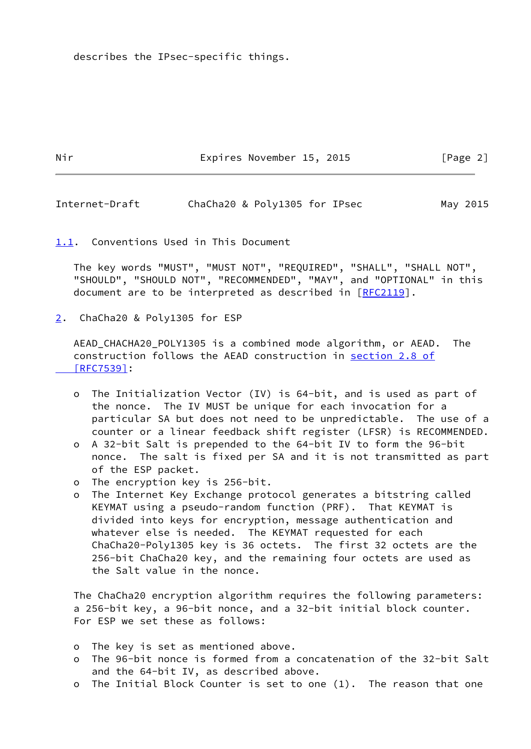describes the IPsec-specific things.

Nir Expires November 15, 2015 [Page 2]

<span id="page-2-1"></span>Internet-Draft ChaCha20 & Poly1305 for IPsec May 2015

<span id="page-2-0"></span>[1.1](#page-2-0). Conventions Used in This Document

 The key words "MUST", "MUST NOT", "REQUIRED", "SHALL", "SHALL NOT", "SHOULD", "SHOULD NOT", "RECOMMENDED", "MAY", and "OPTIONAL" in this document are to be interpreted as described in [\[RFC2119](https://datatracker.ietf.org/doc/pdf/rfc2119)].

<span id="page-2-2"></span>[2](#page-2-2). ChaCha20 & Poly1305 for ESP

 AEAD\_CHACHA20\_POLY1305 is a combined mode algorithm, or AEAD. The construction follows the AEAD construction in [section](https://datatracker.ietf.org/doc/pdf/rfc7539#section-2.8) 2.8 of  [\[RFC7539\]](https://datatracker.ietf.org/doc/pdf/rfc7539#section-2.8):

- o The Initialization Vector (IV) is 64-bit, and is used as part of the nonce. The IV MUST be unique for each invocation for a particular SA but does not need to be unpredictable. The use of a counter or a linear feedback shift register (LFSR) is RECOMMENDED.
- o A 32-bit Salt is prepended to the 64-bit IV to form the 96-bit nonce. The salt is fixed per SA and it is not transmitted as part of the ESP packet.
- o The encryption key is 256-bit.
- o The Internet Key Exchange protocol generates a bitstring called KEYMAT using a pseudo-random function (PRF). That KEYMAT is divided into keys for encryption, message authentication and whatever else is needed. The KEYMAT requested for each ChaCha20-Poly1305 key is 36 octets. The first 32 octets are the 256-bit ChaCha20 key, and the remaining four octets are used as the Salt value in the nonce.

 The ChaCha20 encryption algorithm requires the following parameters: a 256-bit key, a 96-bit nonce, and a 32-bit initial block counter. For ESP we set these as follows:

- o The key is set as mentioned above.
- o The 96-bit nonce is formed from a concatenation of the 32-bit Salt and the 64-bit IV, as described above.
- o The Initial Block Counter is set to one (1). The reason that one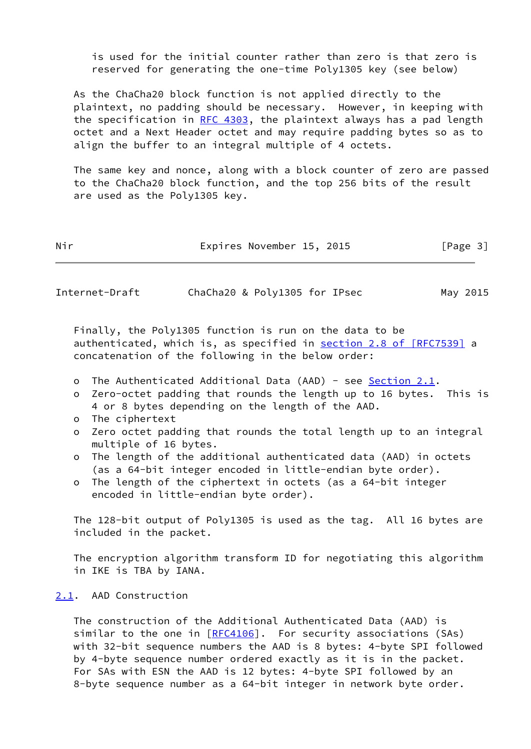is used for the initial counter rather than zero is that zero is reserved for generating the one-time Poly1305 key (see below)

 As the ChaCha20 block function is not applied directly to the plaintext, no padding should be necessary. However, in keeping with the specification in [RFC 4303](https://datatracker.ietf.org/doc/pdf/rfc4303), the plaintext always has a pad length octet and a Next Header octet and may require padding bytes so as to align the buffer to an integral multiple of 4 octets.

 The same key and nonce, along with a block counter of zero are passed to the ChaCha20 block function, and the top 256 bits of the result are used as the Poly1305 key.

| Nir | Expires November 15, 2015 | [Page 3] |
|-----|---------------------------|----------|
|-----|---------------------------|----------|

<span id="page-3-1"></span>Internet-Draft ChaCha20 & Poly1305 for IPsec May 2015

 Finally, the Poly1305 function is run on the data to be authenticated, which is, as specified in section [2.8 of \[RFC7539\]](https://datatracker.ietf.org/doc/pdf/rfc7539#section-2.8) a concatenation of the following in the below order:

- o The Authenticated Additional Data (AAD) see [Section 2.1](#page-3-0).
- o Zero-octet padding that rounds the length up to 16 bytes. This is 4 or 8 bytes depending on the length of the AAD.
- o The ciphertext
- o Zero octet padding that rounds the total length up to an integral multiple of 16 bytes.
- o The length of the additional authenticated data (AAD) in octets (as a 64-bit integer encoded in little-endian byte order).
- o The length of the ciphertext in octets (as a 64-bit integer encoded in little-endian byte order).

 The 128-bit output of Poly1305 is used as the tag. All 16 bytes are included in the packet.

 The encryption algorithm transform ID for negotiating this algorithm in IKE is TBA by IANA.

# <span id="page-3-0"></span>[2.1](#page-3-0). AAD Construction

 The construction of the Additional Authenticated Data (AAD) is similar to the one in  $[REC4106]$ . For security associations (SAs) with 32-bit sequence numbers the AAD is 8 bytes: 4-byte SPI followed by 4-byte sequence number ordered exactly as it is in the packet. For SAs with ESN the AAD is 12 bytes: 4-byte SPI followed by an 8-byte sequence number as a 64-bit integer in network byte order.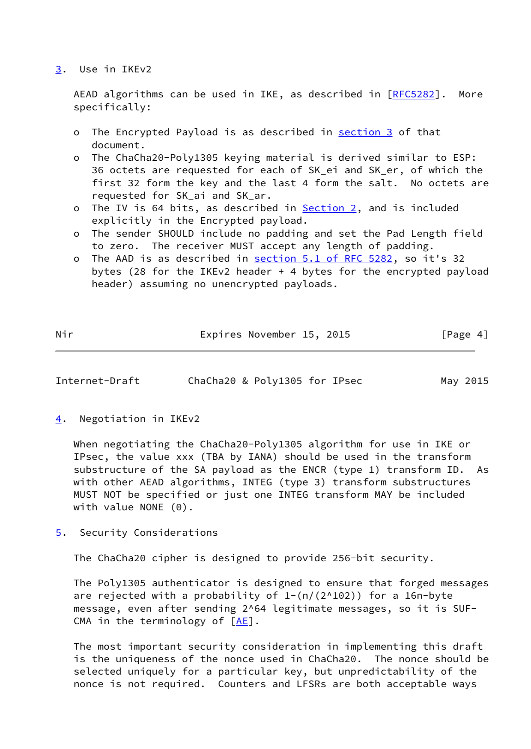#### <span id="page-4-0"></span>[3](#page-4-0). Use in IKEv2

AEAD algorithms can be used in IKE, as described in [\[RFC5282](https://datatracker.ietf.org/doc/pdf/rfc5282)]. More specifically:

- o The Encrypted Payload is as described in [section 3](#page-4-0) of that document.
- o The ChaCha20-Poly1305 keying material is derived similar to ESP: 36 octets are requested for each of SK\_ei and SK\_er, of which the first 32 form the key and the last 4 form the salt. No octets are requested for SK\_ai and SK\_ar.
- o The IV is 64 bits, as described in **Section 2**, and is included explicitly in the Encrypted payload.
- o The sender SHOULD include no padding and set the Pad Length field to zero. The receiver MUST accept any length of padding.
- o The AAD is as described in section [5.1 of RFC 5282](https://datatracker.ietf.org/doc/pdf/rfc5282#section-5.1), so it's 32 bytes (28 for the IKEv2 header + 4 bytes for the encrypted payload header) assuming no unencrypted payloads.

| Nir | Expires November 15, 2015 |  | [Page 4] |
|-----|---------------------------|--|----------|

- <span id="page-4-2"></span>Internet-Draft ChaCha20 & Poly1305 for IPsec May 2015
- <span id="page-4-1"></span>[4](#page-4-1). Negotiation in IKEv2

 When negotiating the ChaCha20-Poly1305 algorithm for use in IKE or IPsec, the value xxx (TBA by IANA) should be used in the transform substructure of the SA payload as the ENCR (type 1) transform ID. As with other AEAD algorithms, INTEG (type 3) transform substructures MUST NOT be specified or just one INTEG transform MAY be included with value NONE (0).

<span id="page-4-3"></span>[5](#page-4-3). Security Considerations

The ChaCha20 cipher is designed to provide 256-bit security.

 The Poly1305 authenticator is designed to ensure that forged messages are rejected with a probability of  $1-(n/(2^2102))$  for a 16n-byte message, even after sending 2^64 legitimate messages, so it is SUF- CMA in the terminology of [[AE\]](#page-6-3).

 The most important security consideration in implementing this draft is the uniqueness of the nonce used in ChaCha20. The nonce should be selected uniquely for a particular key, but unpredictability of the nonce is not required. Counters and LFSRs are both acceptable ways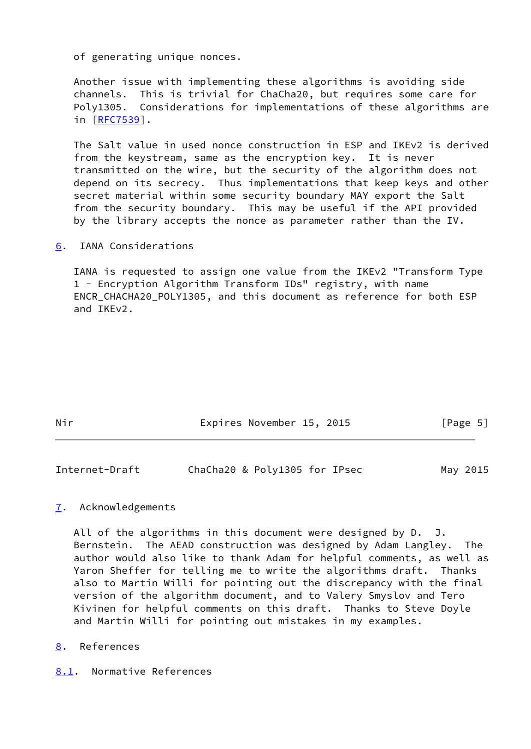of generating unique nonces.

 Another issue with implementing these algorithms is avoiding side channels. This is trivial for ChaCha20, but requires some care for Poly1305. Considerations for implementations of these algorithms are in [[RFC7539\]](https://datatracker.ietf.org/doc/pdf/rfc7539).

 The Salt value in used nonce construction in ESP and IKEv2 is derived from the keystream, same as the encryption key. It is never transmitted on the wire, but the security of the algorithm does not depend on its secrecy. Thus implementations that keep keys and other secret material within some security boundary MAY export the Salt from the security boundary. This may be useful if the API provided by the library accepts the nonce as parameter rather than the IV.

<span id="page-5-0"></span>[6](#page-5-0). IANA Considerations

 IANA is requested to assign one value from the IKEv2 "Transform Type 1 - Encryption Algorithm Transform IDs" registry, with name ENCR CHACHA20 POLY1305, and this document as reference for both ESP and IKEv2.

| Nir | Expires November 15, 2015 |  | [Page 5] |  |
|-----|---------------------------|--|----------|--|
|     |                           |  |          |  |

<span id="page-5-2"></span>

| Internet-Draft | ChaCha20 & Poly1305 for IPsec | May 2015 |
|----------------|-------------------------------|----------|
|----------------|-------------------------------|----------|

## <span id="page-5-1"></span>[7](#page-5-1). Acknowledgements

All of the algorithms in this document were designed by D. J. Bernstein. The AEAD construction was designed by Adam Langley. The author would also like to thank Adam for helpful comments, as well as Yaron Sheffer for telling me to write the algorithms draft. Thanks also to Martin Willi for pointing out the discrepancy with the final version of the algorithm document, and to Valery Smyslov and Tero Kivinen for helpful comments on this draft. Thanks to Steve Doyle and Martin Willi for pointing out mistakes in my examples.

- <span id="page-5-3"></span>[8](#page-5-3). References
- <span id="page-5-4"></span>[8.1](#page-5-4). Normative References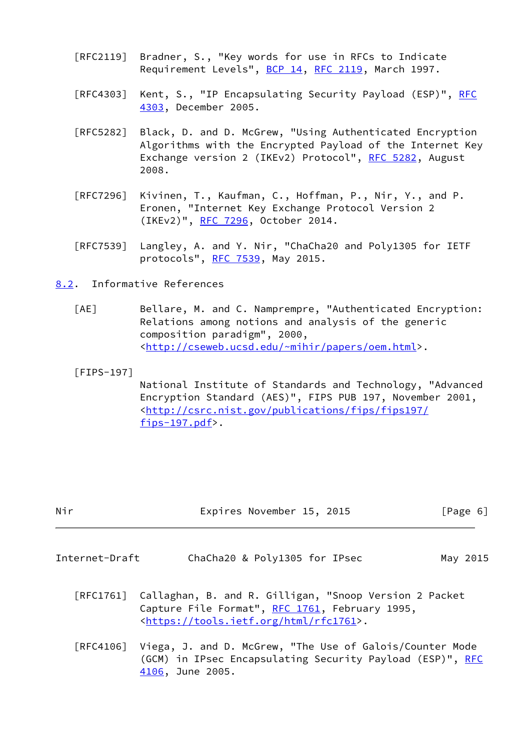- [RFC2119] Bradner, S., "Key words for use in RFCs to Indicate Requirement Levels", [BCP 14](https://datatracker.ietf.org/doc/pdf/bcp14), [RFC 2119](https://datatracker.ietf.org/doc/pdf/rfc2119), March 1997.
- [RFC4303] Kent, S., "IP Encapsulating Security Payload (ESP)", [RFC](https://datatracker.ietf.org/doc/pdf/rfc4303) [4303,](https://datatracker.ietf.org/doc/pdf/rfc4303) December 2005.
- [RFC5282] Black, D. and D. McGrew, "Using Authenticated Encryption Algorithms with the Encrypted Payload of the Internet Key Exchange version 2 (IKEv2) Protocol", [RFC 5282](https://datatracker.ietf.org/doc/pdf/rfc5282), August 2008.
- [RFC7296] Kivinen, T., Kaufman, C., Hoffman, P., Nir, Y., and P. Eronen, "Internet Key Exchange Protocol Version 2 (IKEv2)", [RFC 7296](https://datatracker.ietf.org/doc/pdf/rfc7296), October 2014.
- [RFC7539] Langley, A. and Y. Nir, "ChaCha20 and Poly1305 for IETF protocols", [RFC 7539,](https://datatracker.ietf.org/doc/pdf/rfc7539) May 2015.
- <span id="page-6-3"></span><span id="page-6-0"></span>[8.2](#page-6-0). Informative References
	- [AE] Bellare, M. and C. Namprempre, "Authenticated Encryption: Relations among notions and analysis of the generic composition paradigm", 2000, <[http://cseweb.ucsd.edu/~mihir/papers/oem.html>](http://cseweb.ucsd.edu/~mihir/papers/oem.html).
	- [FIPS-197]

<span id="page-6-2"></span> National Institute of Standards and Technology, "Advanced Encryption Standard (AES)", FIPS PUB 197, November 2001, <[http://csrc.nist.gov/publications/fips/fips197/](http://csrc.nist.gov/publications/fips/fips197/fips-197.pdf) [fips-197.pdf>](http://csrc.nist.gov/publications/fips/fips197/fips-197.pdf).

| Nir | Expires November 15, 2015 | [Page 6] |  |
|-----|---------------------------|----------|--|
|     |                           |          |  |

- <span id="page-6-1"></span>Internet-Draft ChaCha20 & Poly1305 for IPsec May 2015
	- [RFC1761] Callaghan, B. and R. Gilligan, "Snoop Version 2 Packet Capture File Format", [RFC 1761](https://datatracker.ietf.org/doc/pdf/rfc1761), February 1995, <[https://tools.ietf.org/html/rfc1761>](https://tools.ietf.org/html/rfc1761).
	- [RFC4106] Viega, J. and D. McGrew, "The Use of Galois/Counter Mode (GCM) in IPsec Encapsulating Security Payload (ESP)", [RFC](https://datatracker.ietf.org/doc/pdf/rfc4106) [4106,](https://datatracker.ietf.org/doc/pdf/rfc4106) June 2005.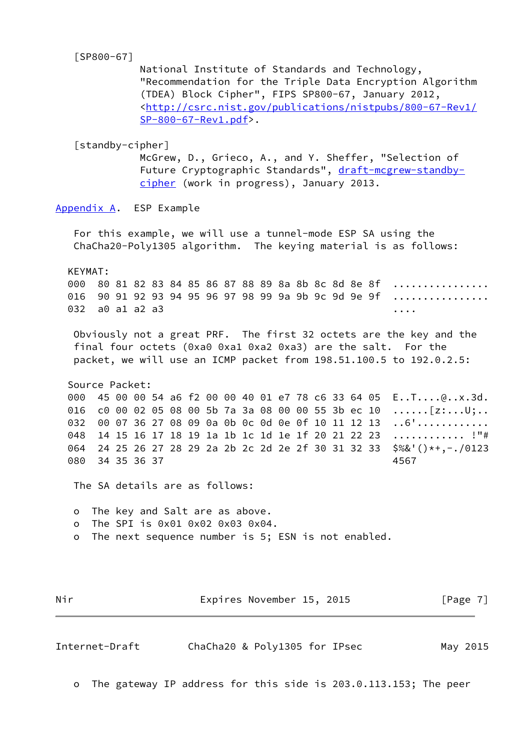# <span id="page-7-1"></span>[SP800-67]

 National Institute of Standards and Technology, "Recommendation for the Triple Data Encryption Algorithm (TDEA) Block Cipher", FIPS SP800-67, January 2012, <[http://csrc.nist.gov/publications/nistpubs/800-67-Rev1/](http://csrc.nist.gov/publications/nistpubs/800-67-Rev1/SP-800-67-Rev1.pdf) [SP-800-67-Rev1.pdf>](http://csrc.nist.gov/publications/nistpubs/800-67-Rev1/SP-800-67-Rev1.pdf).

<span id="page-7-2"></span>[standby-cipher]

 McGrew, D., Grieco, A., and Y. Sheffer, "Selection of Future Cryptographic Standards", [draft-mcgrew-standby](https://datatracker.ietf.org/doc/pdf/draft-mcgrew-standby-cipher) [cipher](https://datatracker.ietf.org/doc/pdf/draft-mcgrew-standby-cipher) (work in progress), January 2013.

<span id="page-7-0"></span>[Appendix A.](#page-7-0) ESP Example

 For this example, we will use a tunnel-mode ESP SA using the ChaCha20-Poly1305 algorithm. The keying material is as follows:

 KEYMAT: 000 80 81 82 83 84 85 86 87 88 89 8a 8b 8c 8d 8e 8f ................ 016 90 91 92 93 94 95 96 97 98 99 9a 9b 9c 9d 9e 9f ................ 032 a0 a1 a2 a3 ....

 Obviously not a great PRF. The first 32 octets are the key and the final four octets (0xa0 0xa1 0xa2 0xa3) are the salt. For the packet, we will use an ICMP packet from 198.51.100.5 to 192.0.2.5:

 Source Packet: 000 45 00 00 54 a6 f2 00 00 40 01 e7 78 c6 33 64 05 E..T....@..x.3d. 016 c0 00 02 05 08 00 5b 7a 3a 08 00 00 55 3b ec 10 ......[z:...U;.. 032 00 07 36 27 08 09 0a 0b 0c 0d 0e 0f 10 11 12 13 ..6'............ 048 14 15 16 17 18 19 1a 1b 1c 1d 1e 1f 20 21 22 23 ............. !"# 064 24 25 26 27 28 29 2a 2b 2c 2d 2e 2f 30 31 32 33 \$%&'()\*+,-./0123 080 34 35 36 37 4567

The SA details are as follows:

 o The key and Salt are as above. o The SPI is 0x01 0x02 0x03 0x04.

o The next sequence number is 5; ESN is not enabled.

Nir **Expires November 15, 2015** [Page 7]

Internet-Draft ChaCha20 & Poly1305 for IPsec May 2015

o The gateway IP address for this side is 203.0.113.153; The peer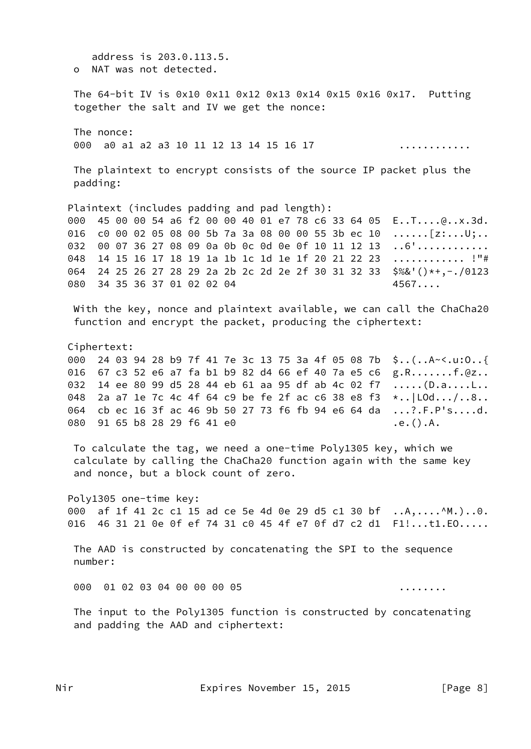address is 203.0.113.5. o NAT was not detected. The 64-bit IV is 0x10 0x11 0x12 0x13 0x14 0x15 0x16 0x17. Putting together the salt and IV we get the nonce: The nonce: 000 a0 a1 a2 a3 10 11 12 13 14 15 16 17 . . . . . . . . . . . . The plaintext to encrypt consists of the source IP packet plus the padding: Plaintext (includes padding and pad length): 000 45 00 00 54 a6 f2 00 00 40 01 e7 78 c6 33 64 05 E..T....@..x.3d. 016 c0 00 02 05 08 00 5b 7a 3a 08 00 00 55 3b ec 10  $\ldots$ . [z:...U;.. 032 00 07 36 27 08 09 0a 0b 0c 0d 0e 0f 10 11 12 13 ..6'............ 14 15 16 17 18 19 1a 1b 1c 1d 1e 1f 20 21 22 23 ............. !"# 048 064 24 25 26 27 28 29 2a 2b 2c 2d 2e 2f 30 31 32 33 \$%&'()\*+,-./0123 080 34 35 36 37 01 02 02 04  $4567...$ With the key, nonce and plaintext available, we can call the ChaCha20 function and encrypt the packet, producing the ciphertext: Ciphertext: 000 24 03 94 28 b9 7f 41 7e 3c 13 75 3a 4f 05 08 7b \$..(..A~<.u:0..{ 016 67 c3 52 e6 a7 fa b1 b9 82 d4 66 ef 40 7a e5 c6 g.R.......f.@z.. 032 14 ee 80 99 d5 28 44 eb 61 aa 95 df ab 4c 02 f7 .....(D.a....L.. 048 2a a7 1e 7c 4c 4f 64 c9 be fe 2f ac c6 38 e8 f3 \*.. | LOd.../..8.. 064 cb ec 16 3f ac 46 9b 50 27 73 f6 fb 94 e6 64 da ...?.F.P's....d. 080 91 65 b8 28 29 f6 41 e0  $.e. () . A.$ To calculate the tag, we need a one-time Poly1305 key, which we calculate by calling the ChaCha20 function again with the same key and nonce, but a block count of zero. Poly1305 one-time key: af 1f 41 2c c1 15 ad ce 5e 4d 0e 29 d5 c1 30 bf ..A,....^M.)..0. 000 016 46 31 21 0e 0f ef 74 31 c0 45 4f e7 0f d7 c2 d1 F1!...t1.E0..... The AAD is constructed by concatenating the SPI to the sequence number:  $000$ 01 02 03 04 00 00 00 05 . . . . . . . . The input to the Poly1305 function is constructed by concatenating and padding the AAD and ciphertext: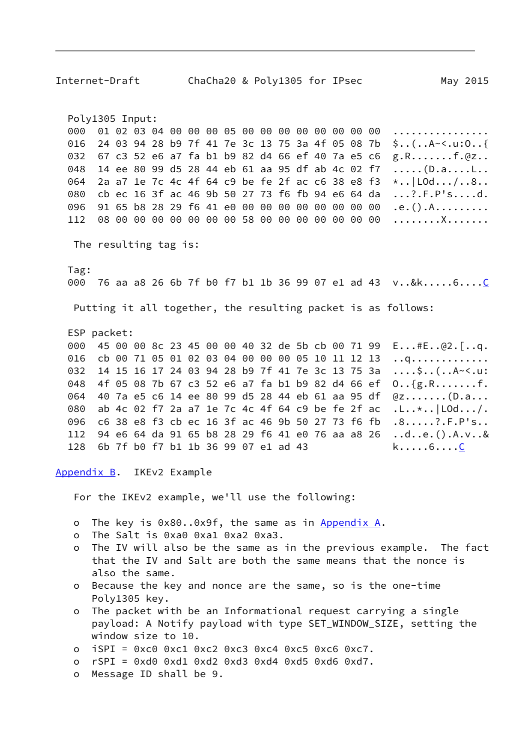<span id="page-9-0"></span>Poly1305 Input: 01 02 03 04 00 00 00 05 00 00 00 00 00 00 00 00 000 . . . . . . . . . . . . . . . . 016 24 03 94 28 b9 7f 41 7e 3c 13 75 3a 4f 05 08 7b  $$... (... A - 1.10...$ 67 c3 52 e6 a7 fa b1 b9 82 d4 66 ef 40 7a e5 c6 032  $g.R.$ ......f. $QZ.$ . 14 ee 80 99 d5 28 44 eb 61 aa 95 df ab 4c 02 f7 048 2a a7 1e 7c 4c 4f 64 c9 be fe 2f ac c6 38 e8 f3 064  $\star$ .. | LOd.../..8.. cb ec 16 3f ac 46 9b 50 27 73 f6 fb 94 e6 64 da  $\ldots$  ? . F. P's....d. 080 096 91 65 b8 28 29 f6 41 e0 00 00 00 00 00 00 00 00  $.e. () . A. . . . . . . . .$ 08 00 00 00 00 00 00 00 58 00 00 00 00 00 00 00 112 . . . . . . . . X . . . . . . . The resulting tag is: Tag: 000 76 aa a8 26 6b 7f b0 f7 b1 1b 36 99 07 e1 ad 43 v..&k.....6....C Putting it all together, the resulting packet is as follows: ESP packet: 000 45 00 00 8c 23 45 00 00 40 32 de 5b cb 00 71 99  $E...#E...@2.$ [..q. cb 00 71 05 01 02 03 04 00 00 00 05 10 11 12 13 016 . . q . . . . . . . . . . . . . 032 14 15 16 17 24 03 94 28 b9 7f 41 7e 3c 13 75 3a  $\ldots$ .;  $\frac{1}{2}$ ... (... A~<..u. 048 4f 05 08 7b 67 c3 52 e6 a7 fa b1 b9 82 d4 66 ef  $0. . {g.R. . . . . . . f.}$ 064 40 7a e5 c6 14 ee 80 99 d5 28 44 eb 61 aa 95 df  $QZ$ ....... $(D.a...$ ab 4c 02 f7 2a a7 1e 7c 4c 4f 64 c9 be fe 2f ac 080  $.L..*.$   $|$   $L$ 0d.../. c6 38 e8 f3 cb ec 16 3f ac 46 9b 50 27 73 f6 fb 096  $.8......?$ . $F.P'S...$ 94 e6 64 da 91 65 b8 28 29 f6 41 e0 76 aa a8 26  $...d..e.().A.v..&$ 112 6b 7f b0 f7 b1 1b 36 99 07 e1 ad 43 128  $k \ldots 6 \ldots C$ Appendix B. IKEv2 Example For the IKEv2 example, we'll use the following: The key is 0x80..0x9f, the same as in Appendix A.  $\mathsf{o}$ The Salt is 0xa0 0xa1 0xa2 0xa3.  $\Omega$ The IV will also be the same as in the previous example. The fact  $\Omega$ that the IV and Salt are both the same means that the nonce is also the same. o Because the key and nonce are the same, so is the one-time Poly1305 key. The packet with be an Informational request carrying a single  $\Omega$ payload: A Notify payload with type SET\_WINDOW\_SIZE, setting the window size to 10.  $iSPI = 0xc0 0xc1 0xc2 0xc3 0xc4 0xc5 0xc6 0xc7.$  $\circ$  $rSPI = 0xd0 0xd1 0xd2 0xd3 0xd4 0xd5 0xd6 0xd7.$  $\Omega$ Message ID shall be 9.  $\Omega$ 

ChaCha20 & Poly1305 for IPsec

May 2015

<span id="page-9-1"></span>Internet-Draft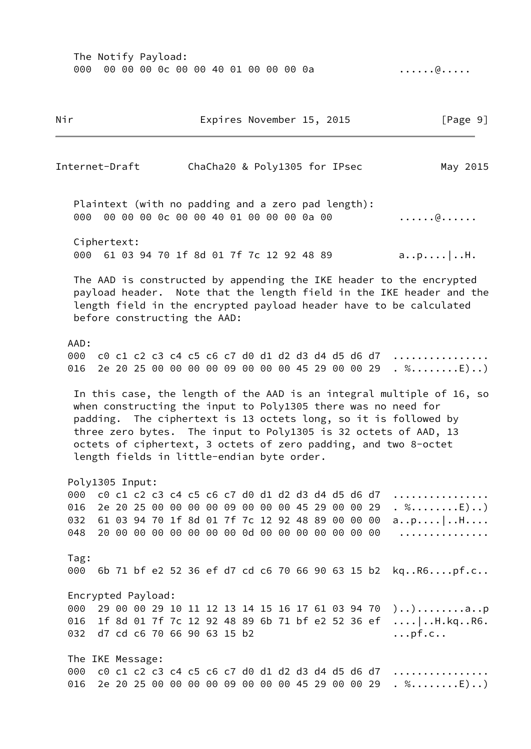000 00 00 00 0c 00 00 40 01 00 00 00 0a ......@...... Nir **Expires November 15, 2015** [Page 9] Internet-Draft ChaCha20 & Poly1305 for IPsec May 2015 Plaintext (with no padding and a zero pad length): 000 00 00 00 0c 00 00 40 01 00 00 00 0a 00 ......@....... Ciphertext: 000 61 03 94 70 1f 8d 01 7f 7c 12 92 48 89 a..p....|..H. The AAD is constructed by appending the IKE header to the encrypted payload header. Note that the length field in the IKE header and the length field in the encrypted payload header have to be calculated before constructing the AAD: AAD: 000 c0 c1 c2 c3 c4 c5 c6 c7 d0 d1 d2 d3 d4 d5 d6 d7 ................ 016 2e 20 25 00 00 00 00 09 00 00 00 45 29 00 00 29  $\ldots$  %........E)..) In this case, the length of the AAD is an integral multiple of 16, so when constructing the input to Poly1305 there was no need for padding. The ciphertext is 13 octets long, so it is followed by three zero bytes. The input to Poly1305 is 32 octets of AAD, 13 octets of ciphertext, 3 octets of zero padding, and two 8-octet length fields in little-endian byte order. Poly1305 Input: 000 c0 c1 c2 c3 c4 c5 c6 c7 d0 d1 d2 d3 d4 d5 d6 d7 ................ 016 2e 20 25 00 00 00 00 09 00 00 00 45 29 00 00 29 .  $% \ldots \ldots \ldots$ . 032 61 03 94 70 1f 8d 01 7f 7c 12 92 48 89 00 00 00 a..p....|..H.... 048 20 00 00 00 00 00 00 00 0d 00 00 00 00 00 00 00 ............... Tag: 000 6b 71 bf e2 52 36 ef d7 cd c6 70 66 90 63 15 b2 kq..R6....pf.c.. Encrypted Payload: 000 29 00 00 29 10 11 12 13 14 15 16 17 61 03 94 70 )..).........a..p 016 1f 8d 01 7f 7c 12 92 48 89 6b 71 bf e2 52 36 ef ....|..H.kq..R6. 032 d7 cd c6 70 66 90 63 15 b2 ... pf.c.. The IKE Message: 000 c0 c1 c2 c3 c4 c5 c6 c7 d0 d1 d2 d3 d4 d5 d6 d7 ................ 016 2e 20 25 00 00 00 00 09 00 00 00 45 29 00 00 29 . %.......E)..)

The Notify Payload: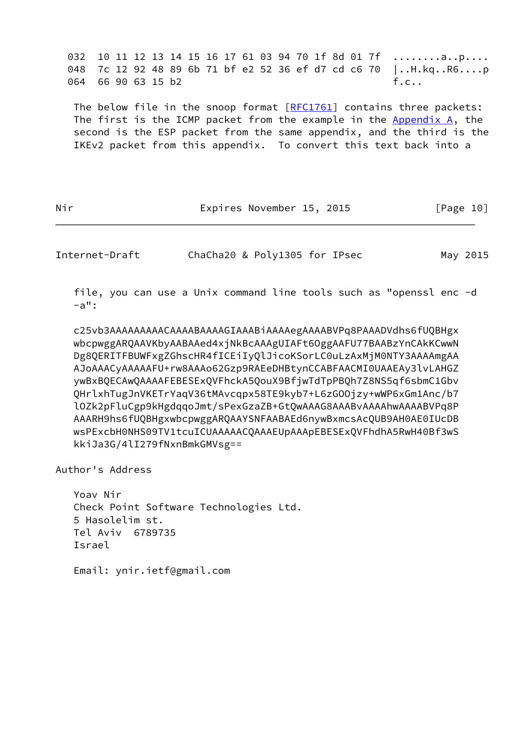032 10 11 12 13 14 15 16 17 61 03 94 70 1f 8d 01 7f ........a..p.... 048 7c 12 92 48 89 6b 71 bf e2 52 36 ef d7 cd c6 70 |..H.kq..R6....p 064 66 90 63 15 b2 f.c..

The below file in the snoop format [[RFC1761\]](https://datatracker.ietf.org/doc/pdf/rfc1761) contains three packets: The first is the ICMP packet from the example in the  $Appendix A$ , the second is the ESP packet from the same appendix, and the third is the IKEv2 packet from this appendix. To convert this text back into a

Nir **Expires November 15, 2015** [Page 10]

<span id="page-11-0"></span>Internet-Draft ChaCha20 & Poly1305 for IPsec May 2015

 file, you can use a Unix command line tools such as "openssl enc -d  $-a"$ :

 c25vb3AAAAAAAAACAAAABAAAAGIAAABiAAAAegAAAABVPq8PAAADVdhs6fUQBHgx wbcpwggARQAAVKbyAABAAed4xjNkBcAAAgUIAFt6OggAAFU77BAABzYnCAkKCwwN Dg8QERITFBUWFxgZGhscHR4fICEiIyQlJicoKSorLC0uLzAxMjM0NTY3AAAAmgAA AJoAAACyAAAAAFU+rw8AAAo62Gzp9RAEeDHBtynCCABFAACMI0UAAEAy3lvLAHGZ ywBxBQECAwQAAAAFEBESExQVFhckA5QouX9BfjwTdTpPBQh7Z8NS5qf6sbmC1Gbv QHrlxhTugJnVKETrYaqV36tMAvcqpx58TE9kyb7+L6zGOOjzy+wWP6xGm1Anc/b7 lOZk2pFluCgp9kHgdqqoJmt/sPexGzaZB+GtQwAAAG8AAABvAAAAhwAAAABVPq8P AAARH9hs6fUQBHgxwbcpwggARQAAYSNFAABAEd6nywBxmcsAcQUB9AH0AE0IUcDB wsPExcbH0NHS09TV1tcuICUAAAAACQAAAEUpAAApEBESExQVFhdhA5RwH40Bf3wS kkiJa3G/4lI279fNxnBmkGMVsg==

Author's Address

 Yoav Nir Check Point Software Technologies Ltd. 5 Hasolelim st. Tel Aviv 6789735 Israel

Email: ynir.ietf@gmail.com